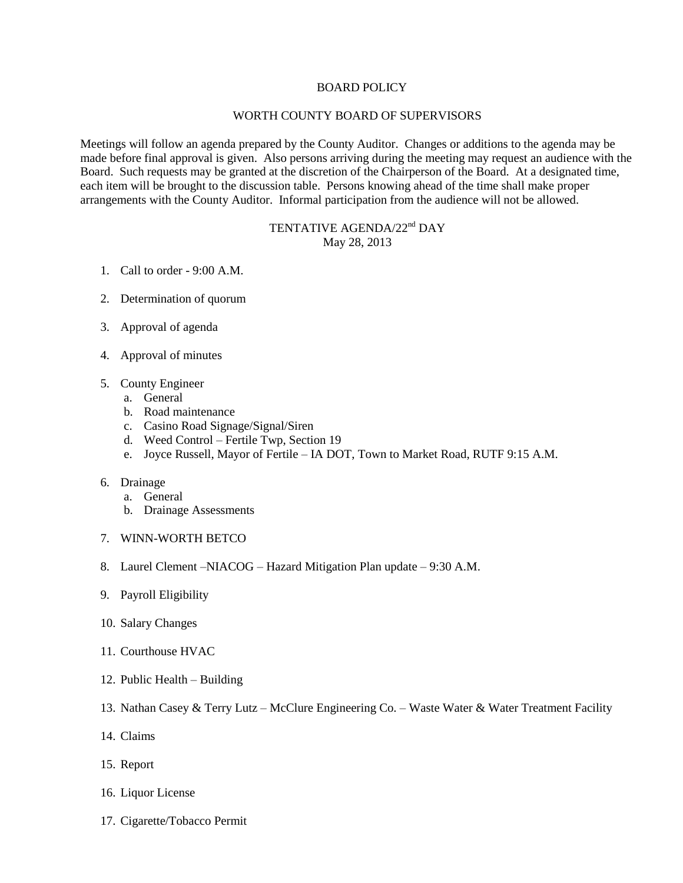## BOARD POLICY

## WORTH COUNTY BOARD OF SUPERVISORS

Meetings will follow an agenda prepared by the County Auditor. Changes or additions to the agenda may be made before final approval is given. Also persons arriving during the meeting may request an audience with the Board. Such requests may be granted at the discretion of the Chairperson of the Board. At a designated time, each item will be brought to the discussion table. Persons knowing ahead of the time shall make proper arrangements with the County Auditor. Informal participation from the audience will not be allowed.

## TENTATIVE AGENDA/22<sup>nd</sup> DAY May 28, 2013

- 1. Call to order 9:00 A.M.
- 2. Determination of quorum
- 3. Approval of agenda
- 4. Approval of minutes
- 5. County Engineer
	- a. General
	- b. Road maintenance
	- c. Casino Road Signage/Signal/Siren
	- d. Weed Control Fertile Twp, Section 19
	- e. Joyce Russell, Mayor of Fertile IA DOT, Town to Market Road, RUTF 9:15 A.M.
- 6. Drainage
	- a. General
	- b. Drainage Assessments
- 7. WINN-WORTH BETCO
- 8. Laurel Clement –NIACOG Hazard Mitigation Plan update 9:30 A.M.
- 9. Payroll Eligibility
- 10. Salary Changes
- 11. Courthouse HVAC
- 12. Public Health Building
- 13. Nathan Casey & Terry Lutz McClure Engineering Co. Waste Water & Water Treatment Facility
- 14. Claims
- 15. Report
- 16. Liquor License
- 17. Cigarette/Tobacco Permit